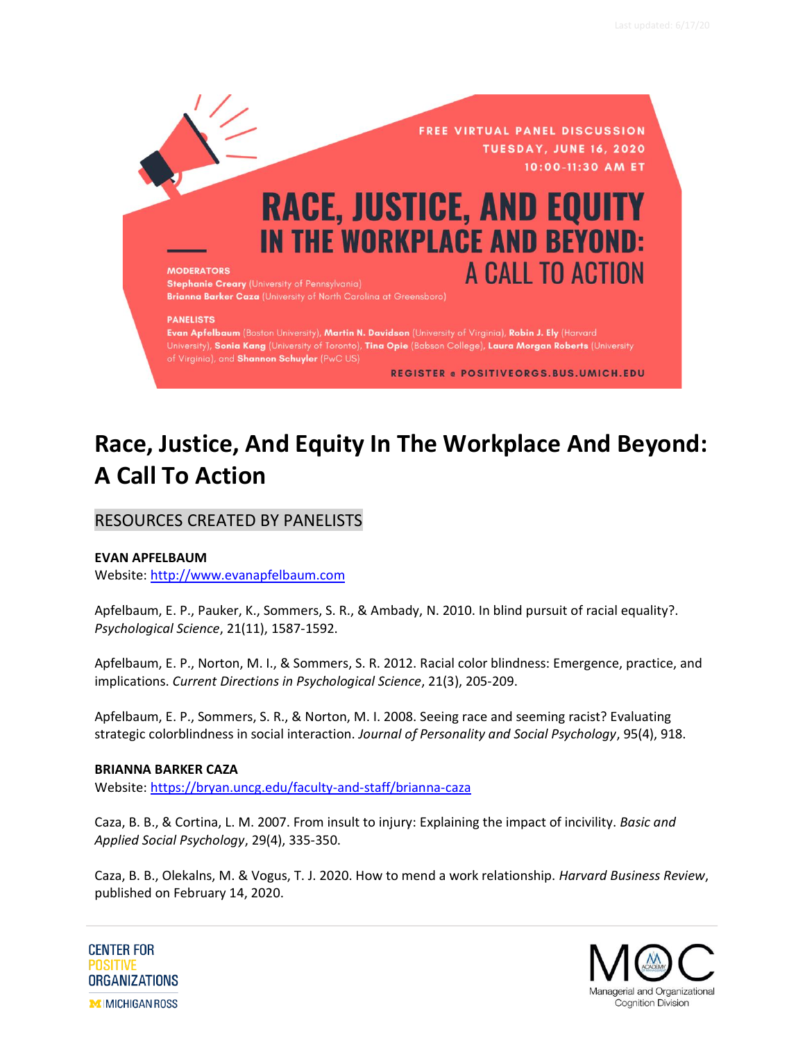

# **Race, Justice, And Equity In The Workplace And Beyond: A Call To Action**

# RESOURCES CREATED BY PANELISTS

## **EVAN APFELBAUM**

Website: [http://www.evanapfelbaum.com](http://www.evanapfelbaum.com/)

Apfelbaum, E. P., Pauker, K., Sommers, S. R., & Ambady, N. 2010. In blind pursuit of racial equality?. *Psychological Science*, 21(11), 1587-1592.

Apfelbaum, E. P., Norton, M. I., & Sommers, S. R. 2012. Racial color blindness: Emergence, practice, and implications. *Current Directions in Psychological Science*, 21(3), 205-209.

Apfelbaum, E. P., Sommers, S. R., & Norton, M. I. 2008. Seeing race and seeming racist? Evaluating strategic colorblindness in social interaction. *Journal of Personality and Social Psychology*, 95(4), 918.

#### **BRIANNA BARKER CAZA**

Website:<https://bryan.uncg.edu/faculty-and-staff/brianna-caza>

Caza, B. B., & Cortina, L. M. 2007. From insult to injury: Explaining the impact of incivility. *Basic and Applied Social Psychology*, 29(4), 335-350.

Caza, B. B., Olekalns, M. & Vogus, T. J. 2020. How to mend a work relationship. *Harvard Business Review*, published on February 14, 2020.



**CENTER FOR POSITIVE ORGANIZATIONS MIMICHIGAN ROSS**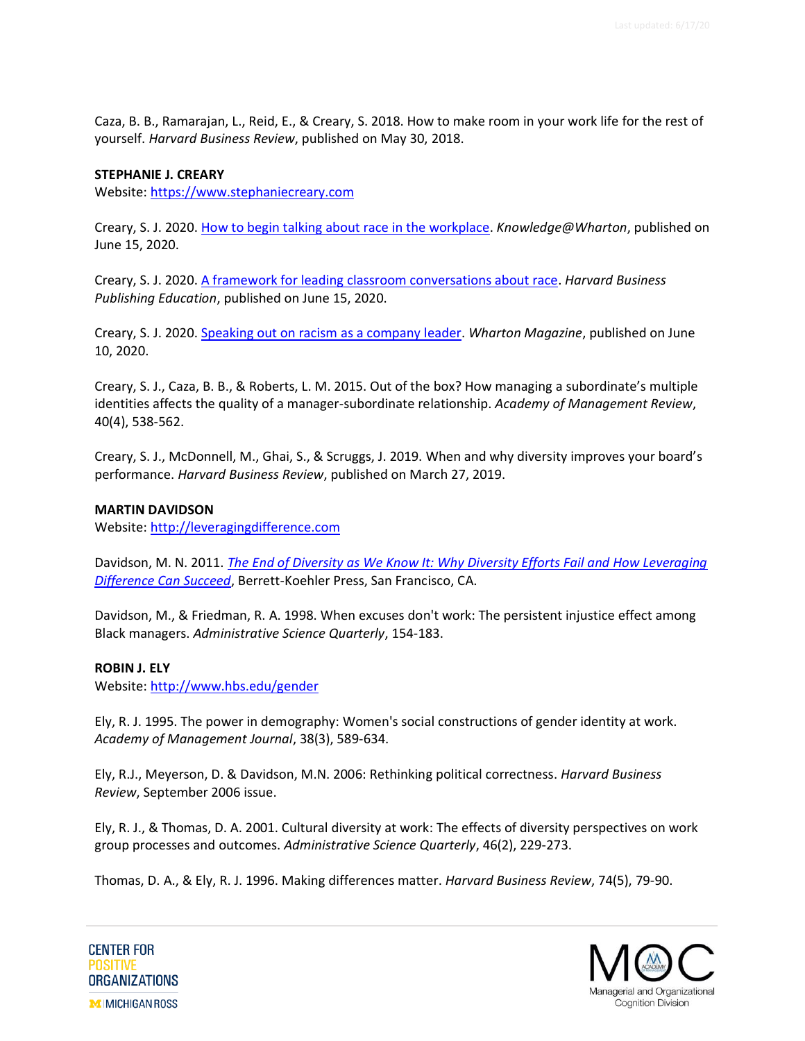Caza, B. B., Ramarajan, L., Reid, E., & Creary, S. 2018. How to make room in your work life for the rest of yourself. *Harvard Business Review*, published on May 30, 2018.

#### **STEPHANIE J. CREARY**

Website: [https://www.stephaniecreary.com](https://www.stephaniecreary.com/) 

Creary, S. J. 2020. [How to begin talking about race in the workplace.](https://knowledge.wharton.upenn.edu/article/begin-talking-race-workplace/) *Knowledge@Wharton*, published on June 15, 2020.

Creary, S. J. 2020. [A framework for leading classroom conversations about race.](https://hbsp.harvard.edu/inspiring-minds/a-framework-for-leading-classroom-conversations-about-race) *Harvard Business Publishing Education*, published on June 15, 2020.

Creary, S. J. 2020. [Speaking out on racism as a company leader.](https://magazine.wharton.upenn.edu/digital/speaking-out-on-racism-as-a-company-leader/) *Wharton Magazine*, published on June 10, 2020.

Creary, S. J., Caza, B. B., & Roberts, L. M. 2015. Out of the box? How managing a subordinate's multiple identities affects the quality of a manager-subordinate relationship. *Academy of Management Review*, 40(4), 538-562.

Creary, S. J., McDonnell, M., Ghai, S., & Scruggs, J. 2019. When and why diversity improves your board's performance. *Harvard Business Review*, published on March 27, 2019.

#### **MARTIN DAVIDSON**

Website: [http://leveragingdifference.com](http://leveragingdifference.com/)

Davidson, M. N. 2011. *[The End of Diversity as We Know It: Why Diversity Efforts Fail and How Leveraging](https://amzn.to/3hAsTzO)  [Difference Can Succeed](https://amzn.to/3hAsTzO)*, Berrett-Koehler Press, San Francisco, CA.

Davidson, M., & Friedman, R. A. 1998. When excuses don't work: The persistent injustice effect among Black managers. *Administrative Science Quarterly*, 154-183.

#### **ROBIN J. ELY**

Website:<http://www.hbs.edu/gender>

Ely, R. J. 1995. The power in demography: Women's social constructions of gender identity at work. *Academy of Management Journal*, 38(3), 589-634.

Ely, R.J., Meyerson, D. & Davidson, M.N. 2006: Rethinking political correctness. *Harvard Business Review*, September 2006 issue.

Ely, R. J., & Thomas, D. A. 2001. Cultural diversity at work: The effects of diversity perspectives on work group processes and outcomes. *Administrative Science Quarterly*, 46(2), 229-273.

Thomas, D. A., & Ely, R. J. 1996. Making differences matter. *Harvard Business Review*, 74(5), 79-90.

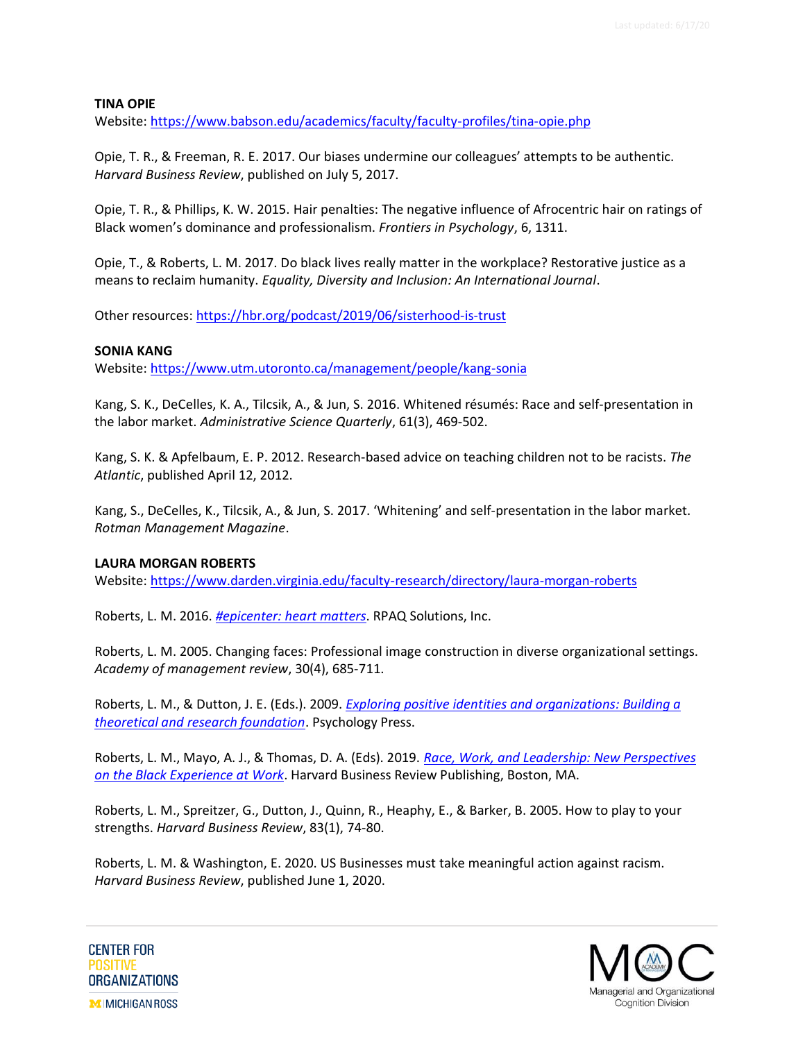## **TINA OPIE**

Website:<https://www.babson.edu/academics/faculty/faculty-profiles/tina-opie.php>

Opie, T. R., & Freeman, R. E. 2017. Our biases undermine our colleagues' attempts to be authentic. *Harvard Business Review*, published on July 5, 2017.

Opie, T. R., & Phillips, K. W. 2015. Hair penalties: The negative influence of Afrocentric hair on ratings of Black women's dominance and professionalism. *Frontiers in Psychology*, 6, 1311.

Opie, T., & Roberts, L. M. 2017. Do black lives really matter in the workplace? Restorative justice as a means to reclaim humanity. *Equality, Diversity and Inclusion: An International Journal*.

Other resources:<https://hbr.org/podcast/2019/06/sisterhood-is-trust>

## **SONIA KANG**

Website:<https://www.utm.utoronto.ca/management/people/kang-sonia>

Kang, S. K., DeCelles, K. A., Tilcsik, A., & Jun, S. 2016. Whitened résumés: Race and self-presentation in the labor market. *Administrative Science Quarterly*, 61(3), 469-502.

Kang, S. K. & Apfelbaum, E. P. 2012. Research-based advice on teaching children not to be racists. *The Atlantic*, published April 12, 2012.

Kang, S., DeCelles, K., Tilcsik, A., & Jun, S. 2017. 'Whitening' and self-presentation in the labor market. *Rotman Management Magazine*.

#### **LAURA MORGAN ROBERTS**

Website:<https://www.darden.virginia.edu/faculty-research/directory/laura-morgan-roberts>

Roberts, L. M. 2016. *[#epicenter: heart matters](https://amzn.to/2Ycetym)*. RPAQ Solutions, Inc.

Roberts, L. M. 2005. Changing faces: Professional image construction in diverse organizational settings. *Academy of management review*, 30(4), 685-711.

Roberts, L. M., & Dutton, J. E. (Eds.). 2009. *[Exploring positive identities and organizations: Building a](http://www.amazon.com/gp/product/1841697648/ref=as_li_tl?ie=UTF8&camp=1789&creative=9325&creativeASIN=1841697648&linkCode=as2&tag=centeforposit-20&linkId=7K5YWB63VGV5YRIY)  [theoretical and research foundation](http://www.amazon.com/gp/product/1841697648/ref=as_li_tl?ie=UTF8&camp=1789&creative=9325&creativeASIN=1841697648&linkCode=as2&tag=centeforposit-20&linkId=7K5YWB63VGV5YRIY)*. Psychology Press.

Roberts, L. M., Mayo, A. J., & Thomas, D. A. (Eds). 2019. *[Race, Work, and Leadership: New Perspectives](https://amzn.to/35qaFuE)  [on the Black Experience at Work](https://amzn.to/35qaFuE)*. Harvard Business Review Publishing, Boston, MA.

Roberts, L. M., Spreitzer, G., Dutton, J., Quinn, R., Heaphy, E., & Barker, B. 2005. How to play to your strengths. *Harvard Business Review*, 83(1), 74-80.

Roberts, L. M. & Washington, E. 2020. US Businesses must take meaningful action against racism. *Harvard Business Review*, published June 1, 2020.

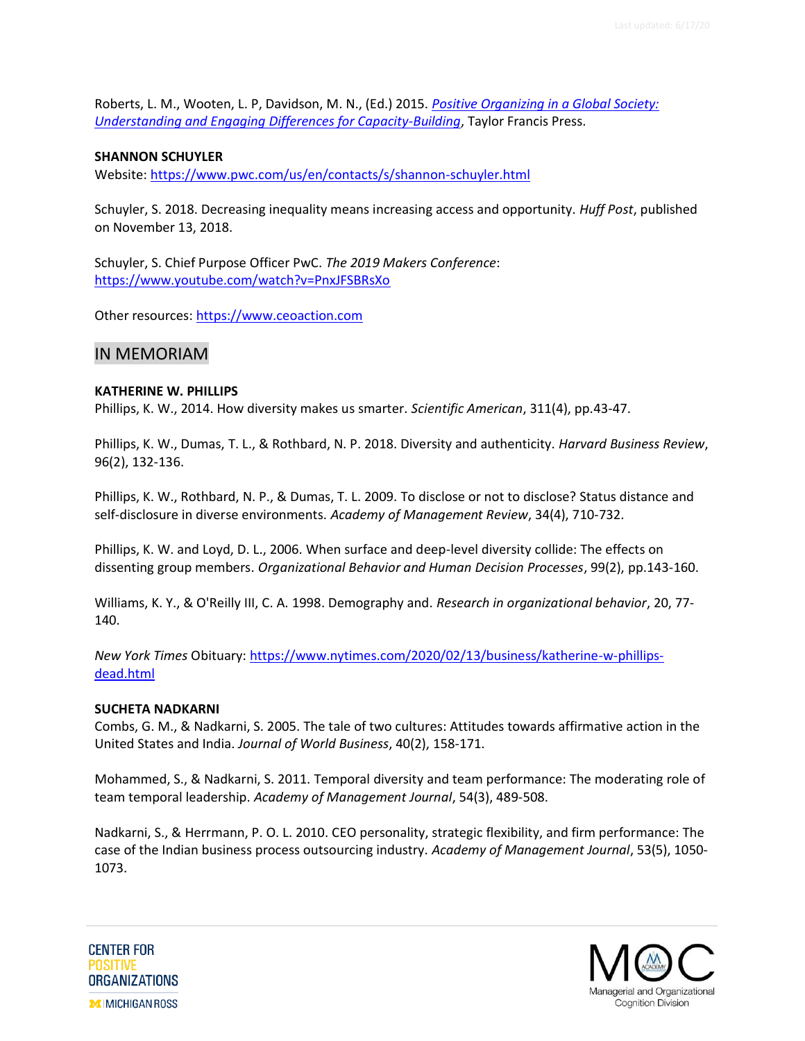Roberts, L. M., Wooten, L. P, Davidson, M. N., (Ed.) 2015. *[Positive Organizing in a Global Society:](http://www.amazon.com/gp/product/1848725760/ref=as_li_tl?ie=UTF8&camp=1789&creative=9325&creativeASIN=1848725760&linkCode=as2&tag=centeforposit-20&linkId=IB6HYCD2DBI3U5SW)  [Understanding and Engaging Differences for Capacity-Building](http://www.amazon.com/gp/product/1848725760/ref=as_li_tl?ie=UTF8&camp=1789&creative=9325&creativeASIN=1848725760&linkCode=as2&tag=centeforposit-20&linkId=IB6HYCD2DBI3U5SW)*, Taylor Francis Press.

#### **SHANNON SCHUYLER**

Website:<https://www.pwc.com/us/en/contacts/s/shannon-schuyler.html>

Schuyler, S. 2018. Decreasing inequality means increasing access and opportunity. *Huff Post*, published on November 13, 2018.

Schuyler, S. Chief Purpose Officer PwC. *The 2019 Makers Conference*: <https://www.youtube.com/watch?v=PnxJFSBRsXo>

Other resources: [https://www.ceoaction.com](https://www.ceoaction.com/)

## IN MEMORIAM

#### **KATHERINE W. PHILLIPS**

Phillips, K. W., 2014. How diversity makes us smarter. *Scientific American*, 311(4), pp.43-47.

Phillips, K. W., Dumas, T. L., & Rothbard, N. P. 2018. Diversity and authenticity. *Harvard Business Review*, 96(2), 132-136.

Phillips, K. W., Rothbard, N. P., & Dumas, T. L. 2009. To disclose or not to disclose? Status distance and self-disclosure in diverse environments. *Academy of Management Review*, 34(4), 710-732.

Phillips, K. W. and Loyd, D. L., 2006. When surface and deep-level diversity collide: The effects on dissenting group members. *Organizational Behavior and Human Decision Processes*, 99(2), pp.143-160.

Williams, K. Y., & O'Reilly III, C. A. 1998. Demography and. *Research in organizational behavior*, 20, 77- 140.

*New York Times* Obituary: [https://www.nytimes.com/2020/02/13/business/katherine-w-phillips](https://www.nytimes.com/2020/02/13/business/katherine-w-phillips-dead.html)[dead.html](https://www.nytimes.com/2020/02/13/business/katherine-w-phillips-dead.html)

#### **SUCHETA NADKARNI**

Combs, G. M., & Nadkarni, S. 2005. The tale of two cultures: Attitudes towards affirmative action in the United States and India. *Journal of World Business*, 40(2), 158-171.

Mohammed, S., & Nadkarni, S. 2011. Temporal diversity and team performance: The moderating role of team temporal leadership. *Academy of Management Journal*, 54(3), 489-508.

Nadkarni, S., & Herrmann, P. O. L. 2010. CEO personality, strategic flexibility, and firm performance: The case of the Indian business process outsourcing industry. *Academy of Management Journal*, 53(5), 1050- 1073.



**CENTER FOR** POSITIVE **ORGANIZATIONS MIMICHIGAN ROSS**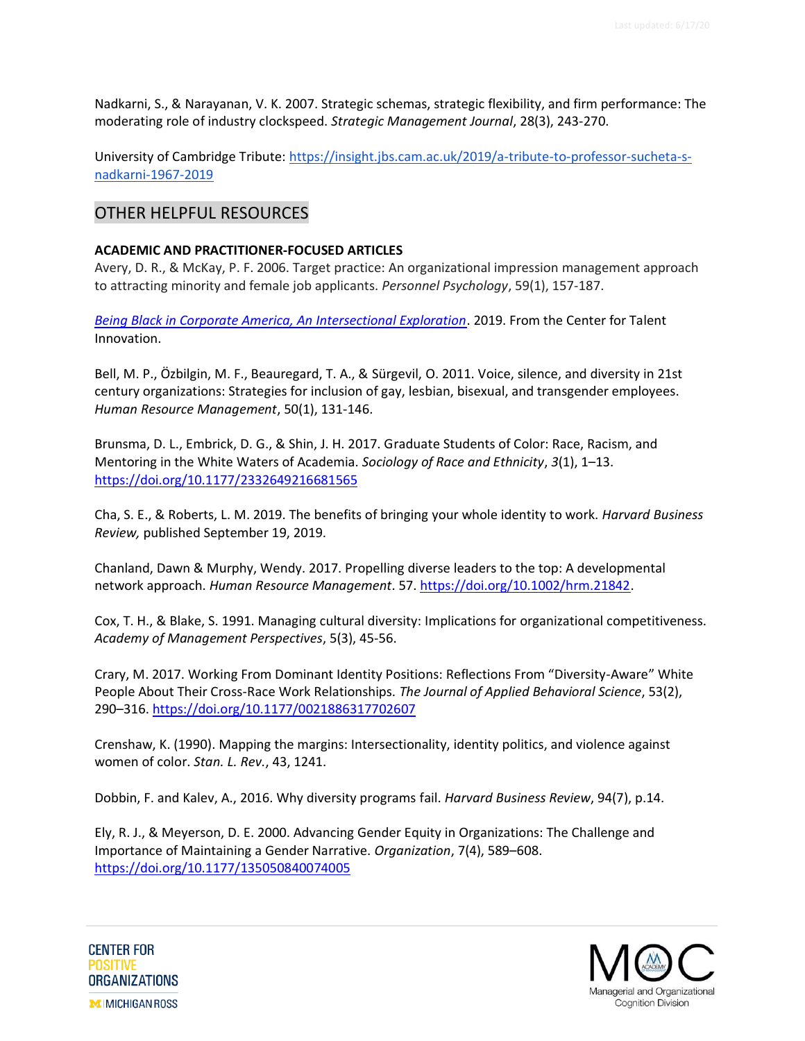Nadkarni, S., & Narayanan, V. K. 2007. Strategic schemas, strategic flexibility, and firm performance: The moderating role of industry clockspeed. *Strategic Management Journal*, 28(3), 243-270.

University of Cambridge Tribute: [https://insight.jbs.cam.ac.uk/2019/a-tribute-to-professor-sucheta-s](https://insight.jbs.cam.ac.uk/2019/a-tribute-to-professor-sucheta-s-nadkarni-1967-2019/)[nadkarni-1967-2019](https://insight.jbs.cam.ac.uk/2019/a-tribute-to-professor-sucheta-s-nadkarni-1967-2019/)

## OTHER HELPFUL RESOURCES

## **ACADEMIC AND PRACTITIONER-FOCUSED ARTICLES**

Avery, D. R., & McKay, P. F. 2006. Target practice: An organizational impression management approach to attracting minority and female job applicants. *Personnel Psychology*, 59(1), 157-187.

*[Being Black in Corporate America, An Intersectional Exploration](https://www.talentinnovation.org/_private/assets/BeingBlack-KeyFindings-CTI.pdf)*. 2019. From the Center for Talent Innovation.

Bell, M. P., Özbilgin, M. F., Beauregard, T. A., & Sürgevil, O. 2011. Voice, silence, and diversity in 21st century organizations: Strategies for inclusion of gay, lesbian, bisexual, and transgender employees. *Human Resource Management*, 50(1), 131-146.

Brunsma, D. L., Embrick, D. G., & Shin, J. H. 2017. Graduate Students of Color: Race, Racism, and Mentoring in the White Waters of Academia. *Sociology of Race and Ethnicity*, *3*(1), 1–13. <https://doi.org/10.1177/2332649216681565>

Cha, S. E., & Roberts, L. M. 2019. The benefits of bringing your whole identity to work. *Harvard Business Review,* published September 19, 2019.

Chanland, Dawn & Murphy, Wendy. 2017. Propelling diverse leaders to the top: A developmental network approach. *Human Resource Management*. 57[. https://doi.org/10.1002/hrm.21842.](https://doi.org/10.1002/hrm.21842)

Cox, T. H., & Blake, S. 1991. Managing cultural diversity: Implications for organizational competitiveness. *Academy of Management Perspectives*, 5(3), 45-56.

Crary, M. 2017. Working From Dominant Identity Positions: Reflections From "Diversity-Aware" White People About Their Cross-Race Work Relationships. *The Journal of Applied Behavioral Science*, 53(2), 290–316.<https://doi.org/10.1177/0021886317702607>

Crenshaw, K. (1990). Mapping the margins: Intersectionality, identity politics, and violence against women of color. *Stan. L. Rev.*, 43, 1241.

Dobbin, F. and Kalev, A., 2016. Why diversity programs fail. *Harvard Business Review*, 94(7), p.14.

Ely, R. J., & Meyerson, D. E. 2000. Advancing Gender Equity in Organizations: The Challenge and Importance of Maintaining a Gender Narrative. *Organization*, 7(4), 589–608. <https://doi.org/10.1177/135050840074005>

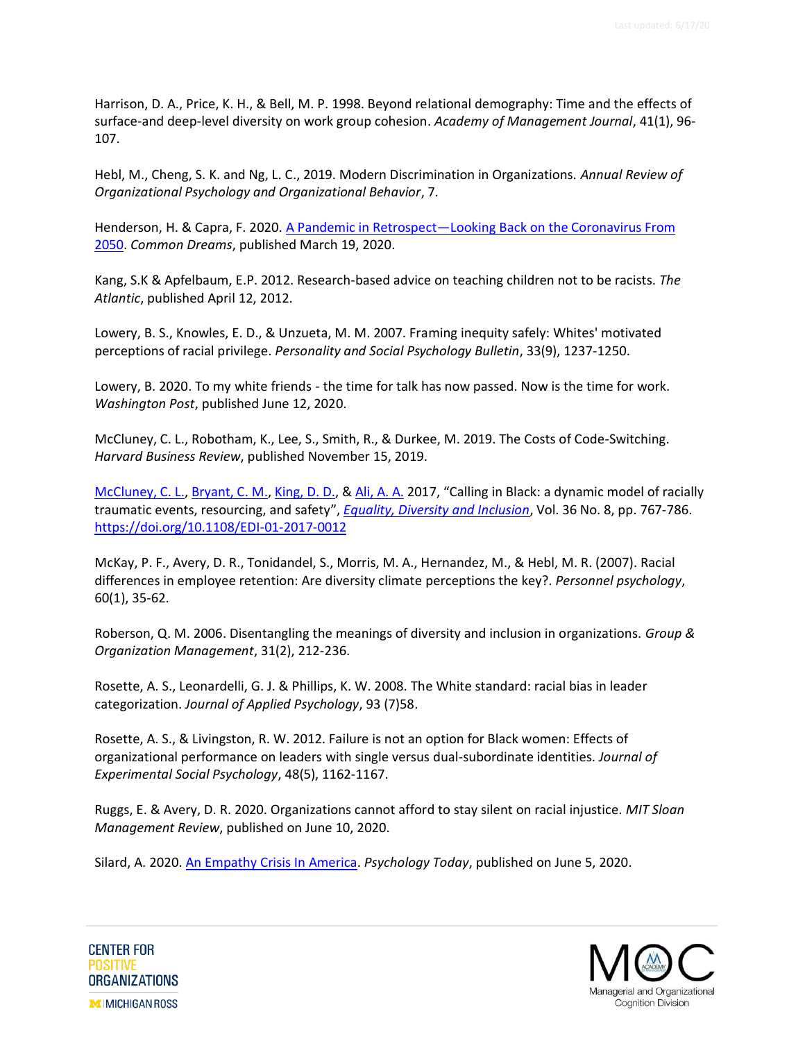Harrison, D. A., Price, K. H., & Bell, M. P. 1998. Beyond relational demography: Time and the effects of surface-and deep-level diversity on work group cohesion. *Academy of Management Journal*, 41(1), 96- 107.

Hebl, M., Cheng, S. K. and Ng, L. C., 2019. Modern Discrimination in Organizations. *Annual Review of Organizational Psychology and Organizational Behavior*, 7.

Henderson, H. & Capra, F. 2020. A Pandemic in Retrospect—[Looking Back on the Coronavirus From](https://www.commondreams.org/views/2020/03/19/pandemic-retrospect-looking-back-coronavirus-2050)  [2050.](https://www.commondreams.org/views/2020/03/19/pandemic-retrospect-looking-back-coronavirus-2050) *Common Dreams*, published March 19, 2020.

Kang, S.K & Apfelbaum, E.P. 2012. Research-based advice on teaching children not to be racists. *The Atlantic*, published April 12, 2012.

Lowery, B. S., Knowles, E. D., & Unzueta, M. M. 2007. Framing inequity safely: Whites' motivated perceptions of racial privilege. *Personality and Social Psychology Bulletin*, 33(9), 1237-1250.

Lowery, B. 2020. To my white friends - the time for talk has now passed. Now is the time for work. *Washington Post*, published June 12, 2020.

McCluney, C. L., Robotham, K., Lee, S., Smith, R., & Durkee, M. 2019. The Costs of Code-Switching. *Harvard Business Review*, published November 15, 2019.

[McCluney, C.](https://www.emerald.com/insight/search?q=Courtney%20L.%20McCluney) L.[, Bryant, C.](https://www.emerald.com/insight/search?q=Courtney%20M.%20Bryant) M.[, King, D.](https://www.emerald.com/insight/search?q=Danielle%20D.%20King) D., & [Ali, A. A.](https://www.emerald.com/insight/search?q=Abdifatah%20A.%20Ali) 2017, "Calling in Black: a dynamic model of racially traumatic events, resourcing, and safety", *[Equality, Diversity and Inclusion](https://www.emerald.com/insight/publication/issn/2040-7149)*, Vol. 36 No. 8, pp. 767-786. <https://doi.org/10.1108/EDI-01-2017-0012>

McKay, P. F., Avery, D. R., Tonidandel, S., Morris, M. A., Hernandez, M., & Hebl, M. R. (2007). Racial differences in employee retention: Are diversity climate perceptions the key?. *Personnel psychology*, 60(1), 35-62.

Roberson, Q. M. 2006. Disentangling the meanings of diversity and inclusion in organizations. *Group & Organization Management*, 31(2), 212-236.

Rosette, A. S., Leonardelli, G. J. & Phillips, K. W. 2008. The White standard: racial bias in leader categorization. *Journal of Applied Psychology*, 93 (7)58.

Rosette, A. S., & Livingston, R. W. 2012. Failure is not an option for Black women: Effects of organizational performance on leaders with single versus dual-subordinate identities. *Journal of Experimental Social Psychology*, 48(5), 1162-1167.

Ruggs, E. & Avery, D. R. 2020. Organizations cannot afford to stay silent on racial injustice. *MIT Sloan Management Review*, published on June 10, 2020.

Silard, A. 2020. [An Empathy Crisis In America.](https://www.psychologytoday.com/us/blog/the-art-living-free/202006/empathy-crisis-in-america) *Psychology Today*, published on June 5, 2020.

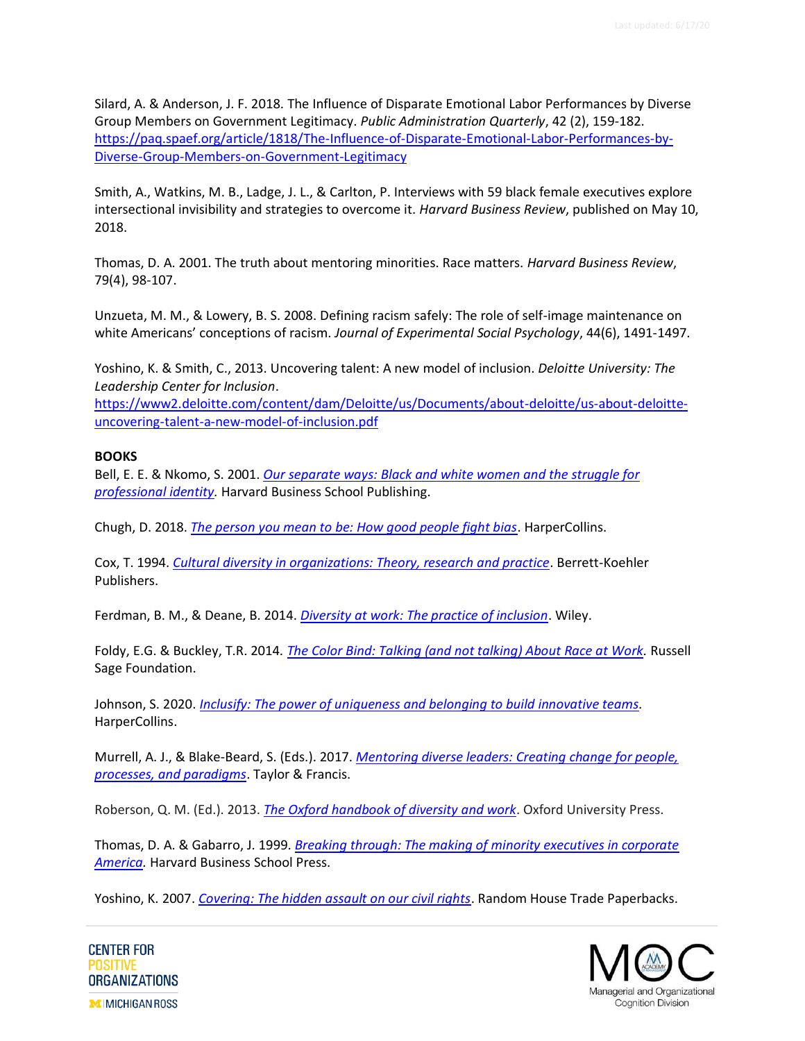Silard, A. & Anderson, J. F. 2018. The Influence of Disparate Emotional Labor Performances by Diverse Group Members on Government Legitimacy. *Public Administration Quarterly*, 42 (2), 159-182. [https://paq.spaef.org/article/1818/The-Influence-of-Disparate-Emotional-Labor-Performances-by-](https://paq.spaef.org/article/1818/The-Influence-of-Disparate-Emotional-Labor-Performances-by-Diverse-Group-Members-on-Government-Legitimacy)[Diverse-Group-Members-on-Government-Legitimacy](https://paq.spaef.org/article/1818/The-Influence-of-Disparate-Emotional-Labor-Performances-by-Diverse-Group-Members-on-Government-Legitimacy)

Smith, A., Watkins, M. B., Ladge, J. L., & Carlton, P. Interviews with 59 black female executives explore intersectional invisibility and strategies to overcome it. *Harvard Business Review*, published on May 10, 2018.

Thomas, D. A. 2001. The truth about mentoring minorities. Race matters. *Harvard Business Review*, 79(4), 98-107.

Unzueta, M. M., & Lowery, B. S. 2008. Defining racism safely: The role of self-image maintenance on white Americans' conceptions of racism. *Journal of Experimental Social Psychology*, 44(6), 1491-1497.

Yoshino, K. & Smith, C., 2013. Uncovering talent: A new model of inclusion. *Deloitte University: The Leadership Center for Inclusion*.

[https://www2.deloitte.com/content/dam/Deloitte/us/Documents/about-deloitte/us-about-deloitte](https://www2.deloitte.com/content/dam/Deloitte/us/Documents/about-deloitte/us-about-deloitte-uncovering-talent-a-new-model-of-inclusion.pdf)[uncovering-talent-a-new-model-of-inclusion.pdf](https://www2.deloitte.com/content/dam/Deloitte/us/Documents/about-deloitte/us-about-deloitte-uncovering-talent-a-new-model-of-inclusion.pdf)

## **BOOKS**

Bell, E. E. & Nkomo, S. 2001. *[Our separate ways: Black and white women and the struggle for](https://amzn.to/2B8jiQ1)  [professional identity.](https://amzn.to/2B8jiQ1)* Harvard Business School Publishing.

Chugh, D. 2018. *[The person you mean to be: How good people fight bias](https://amzn.to/3fomuWu)*. HarperCollins.

Cox, T. 1994. *[Cultural diversity in organizations: Theory, research and practice](https://amzn.to/30MPh31)*. Berrett-Koehler Publishers.

Ferdman, B. M., & Deane, B. 2014. *[Diversity at work: The practice of inclusion](https://amzn.to/3hyTVaQ)*. Wiley.

Foldy, E.G. & Buckley, T.R. 2014. *[The Color Bind: Talking \(and not talking\) About Race at Work.](https://amzn.to/37yyDpc)* Russell Sage Foundation.

Johnson, S. 2020. *[Inclusify: The power of uniqueness and belonging to build innovative teams.](https://amzn.to/2zB3XXJ)* HarperCollins.

Murrell, A. J., & Blake-Beard, S. (Eds.). 2017. *[Mentoring diverse leaders: Creating change for people,](https://amzn.to/2zB7PYM)  [processes, and paradigms](https://amzn.to/2zB7PYM)*. Taylor & Francis.

Roberson, Q. M. (Ed.). 2013. *[The Oxford handbook of diversity and work](https://amzn.to/2Ay6yCx)*. Oxford University Press.

Thomas, D. A. & Gabarro, J. 1999. *[Breaking through: The making of minority executives in corporate](https://amzn.to/2UMLb72)  [America.](https://amzn.to/2UMLb72)* Harvard Business School Press.

Yoshino, K. 2007. *[Covering: The hidden assault on our civil rights](https://amzn.to/3e8vlLJ)*. Random House Trade Paperbacks.